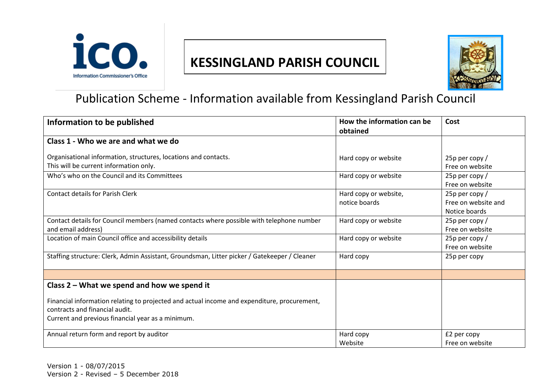

## **KESSINGLAND PARISH COUNCIL**



## Publication Scheme - Information available from Kessingland Parish Council

| Information to be published                                                                                                   | How the information can be             | Cost                                                     |
|-------------------------------------------------------------------------------------------------------------------------------|----------------------------------------|----------------------------------------------------------|
|                                                                                                                               | obtained                               |                                                          |
| Class 1 - Who we are and what we do                                                                                           |                                        |                                                          |
| Organisational information, structures, locations and contacts.<br>This will be current information only.                     | Hard copy or website                   | 25p per copy /<br>Free on website                        |
| Who's who on the Council and its Committees                                                                                   | Hard copy or website                   | 25p per copy /<br>Free on website                        |
| <b>Contact details for Parish Clerk</b>                                                                                       | Hard copy or website,<br>notice boards | 25p per copy $/$<br>Free on website and<br>Notice boards |
| Contact details for Council members (named contacts where possible with telephone number<br>and email address)                | Hard copy or website                   | 25p per copy /<br>Free on website                        |
| Location of main Council office and accessibility details                                                                     | Hard copy or website                   | 25p per copy /<br>Free on website                        |
| Staffing structure: Clerk, Admin Assistant, Groundsman, Litter picker / Gatekeeper / Cleaner                                  | Hard copy                              | 25p per copy                                             |
|                                                                                                                               |                                        |                                                          |
| Class $2$ – What we spend and how we spend it                                                                                 |                                        |                                                          |
| Financial information relating to projected and actual income and expenditure, procurement,<br>contracts and financial audit. |                                        |                                                          |
| Current and previous financial year as a minimum.                                                                             |                                        |                                                          |
| Annual return form and report by auditor                                                                                      | Hard copy                              | £2 per copy                                              |
|                                                                                                                               | Website                                | Free on website                                          |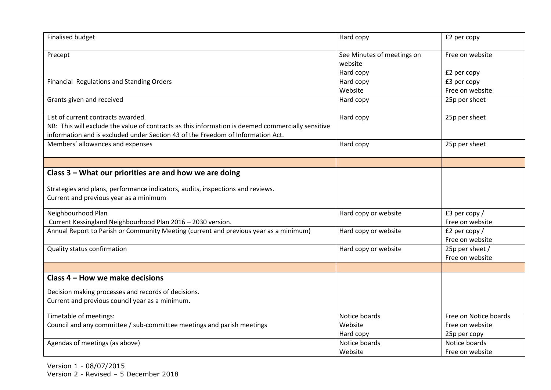| <b>Finalised budget</b>                                                                           | Hard copy                             | £2 per copy                        |
|---------------------------------------------------------------------------------------------------|---------------------------------------|------------------------------------|
| Precept                                                                                           | See Minutes of meetings on<br>website | Free on website                    |
|                                                                                                   | Hard copy                             | £2 per copy                        |
| Financial Regulations and Standing Orders                                                         | Hard copy                             | £3 per copy                        |
|                                                                                                   | Website                               | Free on website                    |
| Grants given and received                                                                         | Hard copy                             | 25p per sheet                      |
| List of current contracts awarded.                                                                | Hard copy                             | 25p per sheet                      |
| NB: This will exclude the value of contracts as this information is deemed commercially sensitive |                                       |                                    |
| information and is excluded under Section 43 of the Freedom of Information Act.                   |                                       |                                    |
| Members' allowances and expenses                                                                  | Hard copy                             | 25p per sheet                      |
|                                                                                                   |                                       |                                    |
| Class 3 - What our priorities are and how we are doing                                            |                                       |                                    |
| Strategies and plans, performance indicators, audits, inspections and reviews.                    |                                       |                                    |
| Current and previous year as a minimum                                                            |                                       |                                    |
| Neighbourhood Plan                                                                                | Hard copy or website                  | £3 per copy /                      |
| Current Kessingland Neighbourhood Plan 2016 - 2030 version.                                       |                                       | Free on website                    |
| Annual Report to Parish or Community Meeting (current and previous year as a minimum)             | Hard copy or website                  | £2 per copy $/$<br>Free on website |
| <b>Quality status confirmation</b>                                                                | Hard copy or website                  | 25p per sheet /<br>Free on website |
|                                                                                                   |                                       |                                    |
| Class 4 - How we make decisions                                                                   |                                       |                                    |
| Decision making processes and records of decisions.                                               |                                       |                                    |
| Current and previous council year as a minimum.                                                   |                                       |                                    |
| Timetable of meetings:                                                                            | Notice boards                         | Free on Notice boards              |
| Council and any committee / sub-committee meetings and parish meetings                            | Website                               | Free on website                    |
|                                                                                                   | Hard copy                             | 25p per copy                       |
| Agendas of meetings (as above)                                                                    | Notice boards                         | Notice boards                      |
|                                                                                                   | Website                               | Free on website                    |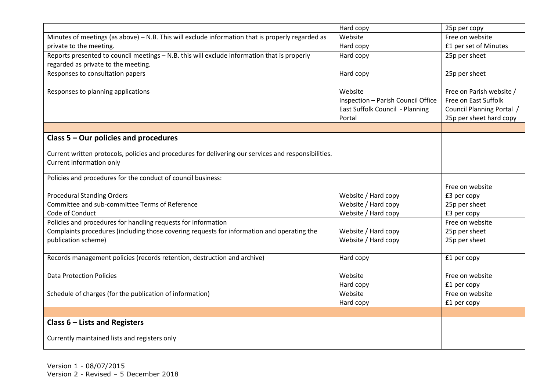|                                                                                                      | Hard copy                          | 25p per copy              |
|------------------------------------------------------------------------------------------------------|------------------------------------|---------------------------|
| Minutes of meetings (as above) $-$ N.B. This will exclude information that is properly regarded as   | Website                            | Free on website           |
| private to the meeting.                                                                              | Hard copy                          | £1 per set of Minutes     |
| Reports presented to council meetings - N.B. this will exclude information that is properly          | Hard copy                          | 25p per sheet             |
| regarded as private to the meeting.                                                                  |                                    |                           |
| Responses to consultation papers                                                                     | Hard copy                          | 25p per sheet             |
|                                                                                                      |                                    |                           |
| Responses to planning applications                                                                   | Website                            | Free on Parish website /  |
|                                                                                                      | Inspection - Parish Council Office | Free on East Suffolk      |
|                                                                                                      | East Suffolk Council - Planning    | Council Planning Portal / |
|                                                                                                      | Portal                             | 25p per sheet hard copy   |
|                                                                                                      |                                    |                           |
| Class $5 -$ Our policies and procedures                                                              |                                    |                           |
|                                                                                                      |                                    |                           |
| Current written protocols, policies and procedures for delivering our services and responsibilities. |                                    |                           |
| Current information only                                                                             |                                    |                           |
| Policies and procedures for the conduct of council business:                                         |                                    |                           |
|                                                                                                      |                                    | Free on website           |
| <b>Procedural Standing Orders</b>                                                                    | Website / Hard copy                | £3 per copy               |
| Committee and sub-committee Terms of Reference                                                       | Website / Hard copy                | 25p per sheet             |
| Code of Conduct                                                                                      | Website / Hard copy                | £3 per copy               |
| Policies and procedures for handling requests for information                                        |                                    | Free on website           |
| Complaints procedures (including those covering requests for information and operating the           | Website / Hard copy                | 25p per sheet             |
| publication scheme)                                                                                  | Website / Hard copy                | 25p per sheet             |
|                                                                                                      |                                    |                           |
| Records management policies (records retention, destruction and archive)                             | Hard copy                          | £1 per copy               |
|                                                                                                      |                                    |                           |
| <b>Data Protection Policies</b>                                                                      | Website                            | Free on website           |
|                                                                                                      | Hard copy                          | £1 per copy               |
| Schedule of charges (for the publication of information)                                             | Website                            | Free on website           |
|                                                                                                      | Hard copy                          | £1 per copy               |
|                                                                                                      |                                    |                           |
| Class $6$ – Lists and Registers                                                                      |                                    |                           |
|                                                                                                      |                                    |                           |
| Currently maintained lists and registers only                                                        |                                    |                           |
|                                                                                                      |                                    |                           |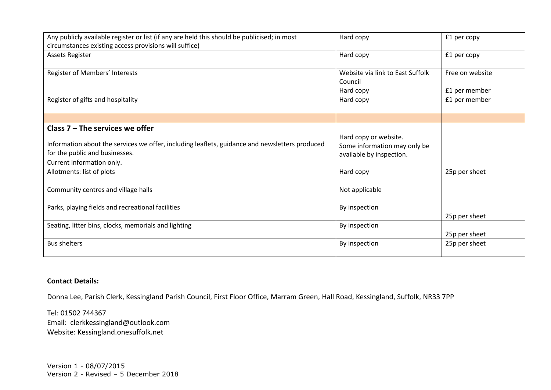| Any publicly available register or list (if any are held this should be publicised; in most                                                                                                        | Hard copy                                                                         | £1 per copy     |
|----------------------------------------------------------------------------------------------------------------------------------------------------------------------------------------------------|-----------------------------------------------------------------------------------|-----------------|
| circumstances existing access provisions will suffice)                                                                                                                                             |                                                                                   |                 |
| <b>Assets Register</b>                                                                                                                                                                             | Hard copy                                                                         | £1 per copy     |
| Register of Members' Interests                                                                                                                                                                     | Website via link to East Suffolk<br>Council                                       | Free on website |
|                                                                                                                                                                                                    | Hard copy                                                                         | £1 per member   |
| Register of gifts and hospitality                                                                                                                                                                  | Hard copy                                                                         | £1 per member   |
|                                                                                                                                                                                                    |                                                                                   |                 |
| Class $7$ – The services we offer<br>Information about the services we offer, including leaflets, guidance and newsletters produced<br>for the public and businesses.<br>Current information only. | Hard copy or website.<br>Some information may only be<br>available by inspection. |                 |
| Allotments: list of plots                                                                                                                                                                          | Hard copy                                                                         | 25p per sheet   |
| Community centres and village halls                                                                                                                                                                | Not applicable                                                                    |                 |
| Parks, playing fields and recreational facilities                                                                                                                                                  | By inspection                                                                     | 25p per sheet   |
| Seating, litter bins, clocks, memorials and lighting                                                                                                                                               | By inspection                                                                     | 25p per sheet   |
| <b>Bus shelters</b>                                                                                                                                                                                | By inspection                                                                     | 25p per sheet   |

## **Contact Details:**

Donna Lee, Parish Clerk, Kessingland Parish Council, First Floor Office, Marram Green, Hall Road, Kessingland, Suffolk, NR33 7PP

Tel: 01502 744367 Email: clerkkessingland@outlook.com Website: Kessingland.onesuffolk.net

Version 1 - 08/07/2015 Version 2 - Revised – 5 December 2018